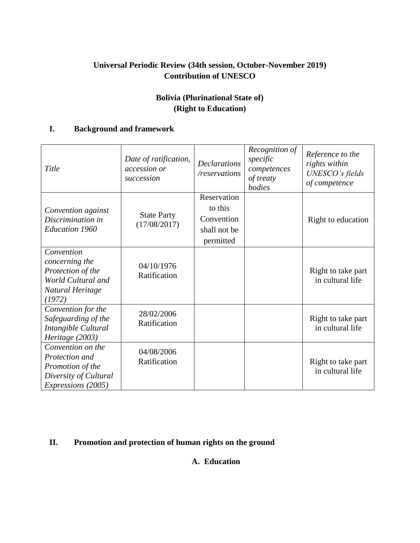# **Universal Periodic Review (34th session, October-November 2019) Contribution of UNESCO**

# **Bolivia (Plurinational State of) (Right to Education)**

### **I. Background and framework**

| Title                                                                                                         | Date of ratification,<br>accession or<br>succession | <b>Declarations</b><br>/reservations                              | Recognition of<br>specific<br>competences<br>of treaty<br>bodies | Reference to the<br>rights within<br>UNESCO's fields<br>of competence |
|---------------------------------------------------------------------------------------------------------------|-----------------------------------------------------|-------------------------------------------------------------------|------------------------------------------------------------------|-----------------------------------------------------------------------|
| Convention against<br>Discrimination in<br><b>Education 1960</b>                                              | <b>State Party</b><br>(17/08/2017)                  | Reservation<br>to this<br>Convention<br>shall not be<br>permitted |                                                                  | Right to education                                                    |
| Convention<br>concerning the<br>Protection of the<br>World Cultural and<br>Natural Heritage<br>(1972)         | 04/10/1976<br>Ratification                          |                                                                   |                                                                  | Right to take part<br>in cultural life                                |
| Convention for the<br>Safeguarding of the<br>Intangible Cultural<br>Heritage (2003)                           | 28/02/2006<br>Ratification                          |                                                                   |                                                                  | Right to take part<br>in cultural life                                |
| Convention on the<br>Protection and<br>Promotion of the<br>Diversity of Cultural<br><i>Expressions</i> (2005) | 04/08/2006<br>Ratification                          |                                                                   |                                                                  | Right to take part<br>in cultural life                                |

## **II. Promotion and protection of human rights on the ground**

### **A. Education**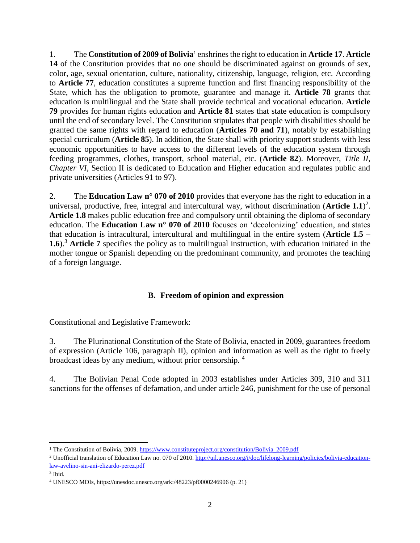1. The **Constitution of 2009 of Bolivia**<sup>1</sup> enshrines the right to education in **Article 17**. **Article 14** of the Constitution provides that no one should be discriminated against on grounds of sex, color, age, sexual orientation, culture, nationality, citizenship, language, religion, etc. According to **Article 77**, education constitutes a supreme function and first financing responsibility of the State, which has the obligation to promote, guarantee and manage it. **Article 78** grants that education is multilingual and the State shall provide technical and vocational education. **Article 79** provides for human rights education and **Article 81** states that state education is compulsory until the end of secondary level. The Constitution stipulates that people with disabilities should be granted the same rights with regard to education (**Articles 70 and 71**), notably by establishing special curriculum (**Article 85**). In addition, the State shall with priority support students with less economic opportunities to have access to the different levels of the education system through feeding programmes, clothes, transport, school material, etc. (**Article 82**). Moreover, *Title II, Chapter VI,* Section II is dedicated to Education and Higher education and regulates public and private universities (Articles 91 to 97).

2. The **Education Law n° 070 of 2010** provides that everyone has the right to education in a universal, productive, free, integral and intercultural way, without discrimination (**Article 1.1**) 2 . **Article 1.8** makes public education free and compulsory until obtaining the diploma of secondary education. The **Education Law n° 070 of 2010** focuses on 'decolonizing' education, and states that education is intracultural, intercultural and multilingual in the entire system (**Article 1.5 – 1.6**).<sup>3</sup> **Article 7** specifies the policy as to multilingual instruction, with education initiated in the mother tongue or Spanish depending on the predominant community, and promotes the teaching of a foreign language.

## **B. Freedom of opinion and expression**

## Constitutional and Legislative Framework:

3. The Plurinational Constitution of the State of Bolivia, enacted in 2009, guarantees freedom of expression (Article 106, paragraph II), opinion and information as well as the right to freely broadcast ideas by any medium, without prior censorship. <sup>4</sup>

4. The Bolivian Penal Code adopted in 2003 establishes under Articles 309, 310 and 311 sanctions for the offenses of defamation, and under article 246, punishment for the use of personal

l <sup>1</sup> The Constitution of Bolivia, 2009[. https://www.constituteproject.org/constitution/Bolivia\\_2009.pdf](https://www.constituteproject.org/constitution/Bolivia_2009.pdf)

<sup>&</sup>lt;sup>2</sup> Unofficial translation of Education Law no. 070 of 2010. [http://uil.unesco.org/i/doc/lifelong-learning/policies/bolivia-education](http://uil.unesco.org/i/doc/lifelong-learning/policies/bolivia-education-law-avelino-sin-ani-elizardo-perez.pdf)[law-avelino-sin-ani-elizardo-perez.pdf](http://uil.unesco.org/i/doc/lifelong-learning/policies/bolivia-education-law-avelino-sin-ani-elizardo-perez.pdf)

<sup>3</sup> Ibid.

<sup>4</sup> UNESCO MDIs, https://unesdoc.unesco.org/ark:/48223/pf0000246906 (p. 21)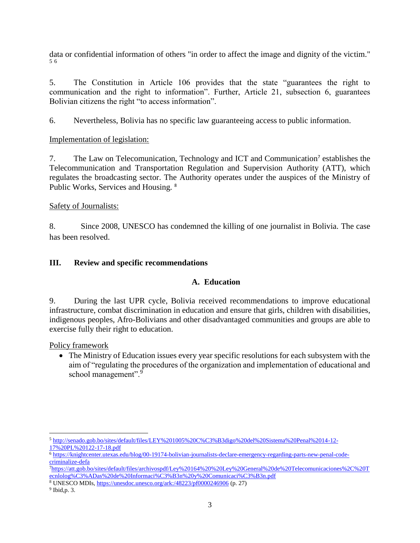data or confidential information of others "in order to affect the image and dignity of the victim." 5 6

5. The Constitution in Article 106 provides that the state "guarantees the right to communication and the right to information". Further, Article 21, subsection 6, guarantees Bolivian citizens the right "to access information".

6. Nevertheless, Bolivia has no specific law guaranteeing access to public information.

### Implementation of legislation:

7. The Law on Telecomunication, Technology and ICT and Communication<sup>7</sup> establishes the Telecommunication and Transportation Regulation and Supervision Authority (ATT), which regulates the broadcasting sector. The Authority operates under the auspices of the Ministry of Public Works, Services and Housing. <sup>8</sup>

### Safety of Journalists:

8. Since 2008, UNESCO has condemned the killing of one journalist in Bolivia. The case has been resolved.

### **III. Review and specific recommendations**

### **A. Education**

9. During the last UPR cycle, Bolivia received recommendations to improve educational infrastructure, combat discrimination in education and ensure that girls, children with disabilities, indigenous peoples, Afro-Bolivians and other disadvantaged communities and groups are able to exercise fully their right to education.

Policy framework

 The Ministry of Education issues every year specific resolutions for each subsystem with the aim of "regulating the procedures of the organization and implementation of educational and school management".<sup>9</sup>

 $\overline{\phantom{a}}$ <sup>5</sup> [http://senado.gob.bo/sites/default/files/LEY%201005%20C%C3%B3digo%20del%20Sistema%20Penal%2014-12-](http://senado.gob.bo/sites/default/files/LEY%201005%20C%C3%B3digo%20del%20Sistema%20Penal%2014-12-17%20PL%20122-17-18.pdf) [17%20PL%20122-17-18.pdf](http://senado.gob.bo/sites/default/files/LEY%201005%20C%C3%B3digo%20del%20Sistema%20Penal%2014-12-17%20PL%20122-17-18.pdf)

<sup>6</sup> [https://knightcenter.utexas.edu/blog/00-19174-bolivian-journalists-declare-emergency-regarding-parts-new-penal-code](https://knightcenter.utexas.edu/blog/00-19174-bolivian-journalists-declare-emergency-regarding-parts-new-penal-code-criminalize-defa)[criminalize-defa](https://knightcenter.utexas.edu/blog/00-19174-bolivian-journalists-declare-emergency-regarding-parts-new-penal-code-criminalize-defa)

<sup>7</sup>[https://att.gob.bo/sites/default/files/archivospdf/Ley%20164%20%20Ley%20General%20de%20Telecomunicaciones%2C%20T](https://att.gob.bo/sites/default/files/archivospdf/Ley%20164%20%20Ley%20General%20de%20Telecomunicaciones%2C%20Tecnlolog%C3%ADas%20de%20Informaci%C3%B3n%20y%20Comunicaci%C3%B3n.pdf) [ecnlolog%C3%ADas%20de%20Informaci%C3%B3n%20y%20Comunicaci%C3%B3n.pdf](https://att.gob.bo/sites/default/files/archivospdf/Ley%20164%20%20Ley%20General%20de%20Telecomunicaciones%2C%20Tecnlolog%C3%ADas%20de%20Informaci%C3%B3n%20y%20Comunicaci%C3%B3n.pdf)

<sup>8</sup> UNESCO MDIs,<https://unesdoc.unesco.org/ark:/48223/pf0000246906> (p. 27)

<sup>9</sup> Ibid,p. 3.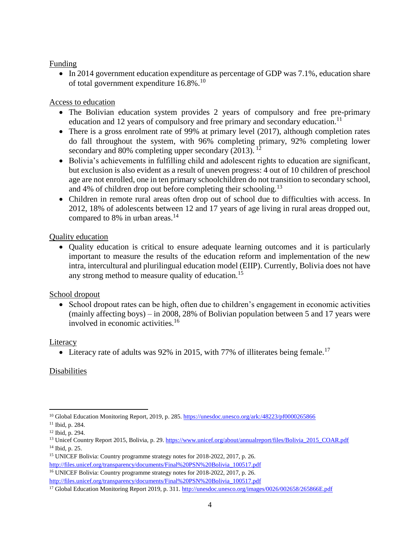#### Funding

• In 2014 government education expenditure as percentage of GDP was 7.1%, education share of total government expenditure 16.8%.<sup>10</sup>

#### Access to education

- The Bolivian education system provides 2 years of compulsory and free pre-primary education and 12 years of compulsory and free primary and secondary education.<sup>11</sup>
- There is a gross enrolment rate of 99% at primary level (2017), although completion rates do fall throughout the system, with 96% completing primary, 92% completing lower secondary and 80% completing upper secondary  $(2013)$ . <sup>12</sup>
- Bolivia's achievements in fulfilling child and adolescent rights to education are significant, but exclusion is also evident as a result of uneven progress: 4 out of 10 children of preschool age are not enrolled, one in ten primary schoolchildren do not transition to secondary school, and 4% of children drop out before completing their schooling.<sup>13</sup>
- Children in remote rural areas often drop out of school due to difficulties with access. In 2012, 18% of adolescents between 12 and 17 years of age living in rural areas dropped out, compared to 8% in urban areas. $14$

#### Quality education

 Quality education is critical to ensure adequate learning outcomes and it is particularly important to measure the results of the education reform and implementation of the new intra, intercultural and plurilingual education model (EIIP). Currently, Bolivia does not have any strong method to measure quality of education.<sup>15</sup>

#### School dropout

• School dropout rates can be high, often due to children's engagement in economic activities (mainly affecting boys) – in 2008, 28% of Bolivian population between 5 and 17 years were involved in economic activities.<sup>16</sup>

#### **Literacy**

• Literacy rate of adults was 92% in 2015, with 77% of illiterates being female.<sup>17</sup>

### Disabilities

[http://files.unicef.org/transparency/documents/Final%20PSN%20Bolivia\\_100517.pdf](http://files.unicef.org/transparency/documents/Final%20PSN%20Bolivia_100517.pdf) <sup>16</sup> UNICEF Bolivia: Country programme strategy notes for 2018-2022, 2017, p. 26. [http://files.unicef.org/transparency/documents/Final%20PSN%20Bolivia\\_100517.pdf](http://files.unicef.org/transparency/documents/Final%20PSN%20Bolivia_100517.pdf)

l <sup>10</sup> Global Education Monitoring Report, 2019, p. 285[. https://unesdoc.unesco.org/ark:/48223/pf0000265866](https://unesdoc.unesco.org/ark:/48223/pf0000265866)

<sup>11</sup> Ibid, p. 284.

<sup>12</sup> Ibid, p. 294.

<sup>&</sup>lt;sup>13</sup> Unicef Country Report 2015, Bolivia, p. 29[. https://www.unicef.org/about/annualreport/files/Bolivia\\_2015\\_COAR.pdf](https://www.unicef.org/about/annualreport/files/Bolivia_2015_COAR.pdf) <sup>14</sup> Ibid, p. 25.

<sup>15</sup> UNICEF Bolivia: Country programme strategy notes for 2018-2022, 2017, p. 26.

<sup>&</sup>lt;sup>17</sup> Global Education Monitoring Report 2019, p. 311.<http://unesdoc.unesco.org/images/0026/002658/265866E.pdf>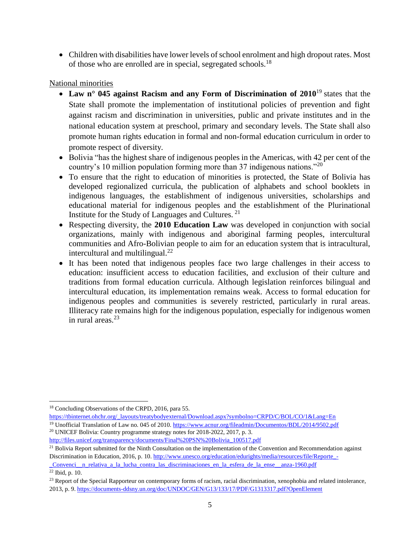• Children with disabilities have lower levels of school enrolment and high dropout rates. Most of those who are enrolled are in special, segregated schools.<sup>18</sup>

### National minorities

- **Law n° 045 against Racism and any Form of Discrimination of 2010**<sup>19</sup> states that the State shall promote the implementation of institutional policies of prevention and fight against racism and discrimination in universities, public and private institutes and in the national education system at preschool, primary and secondary levels. The State shall also promote human rights education in formal and non-formal education curriculum in order to promote respect of diversity.
- Bolivia "has the highest share of indigenous peoples in the Americas, with 42 per cent of the country's 10 million population forming more than 37 indigenous nations."<sup>20</sup>
- To ensure that the right to education of minorities is protected, the State of Bolivia has developed regionalized curricula, the publication of alphabets and school booklets in indigenous languages, the establishment of indigenous universities, scholarships and educational material for indigenous peoples and the establishment of the Plurinational Institute for the Study of Languages and Cultures. <sup>21</sup>
- Respecting diversity, the **2010 Education Law** was developed in conjunction with social organizations, mainly with indigenous and aboriginal farming peoples, intercultural communities and Afro-Bolivian people to aim for an education system that is intracultural, intercultural and multilingual.<sup>22</sup>
- It has been noted that indigenous peoples face two large challenges in their access to education: insufficient access to education facilities, and exclusion of their culture and traditions from formal education curricula. Although legislation reinforces bilingual and intercultural education, its implementation remains weak. Access to formal education for indigenous peoples and communities is severely restricted, particularly in rural areas. Illiteracy rate remains high for the indigenous population, especially for indigenous women in rural areas. $23$

 $\overline{\phantom{a}}$ 

<sup>18</sup> Concluding Observations of the CRPD, 2016, para 55.

[https://tbinternet.ohchr.org/\\_layouts/treatybodyexternal/Download.aspx?symbolno=CRPD/C/BOL/CO/1&Lang=En](https://tbinternet.ohchr.org/_layouts/treatybodyexternal/Download.aspx?symbolno=CRPD/C/BOL/CO/1&Lang=En) <sup>19</sup> Unofficial Translation of Law no. 045 of 2010.<https://www.acnur.org/fileadmin/Documentos/BDL/2014/9502.pdf>

<sup>&</sup>lt;sup>20</sup> UNICEF Bolivia: Country programme strategy notes for 2018-2022, 2017, p. 3.

[http://files.unicef.org/transparency/documents/Final%20PSN%20Bolivia\\_100517.pdf](http://files.unicef.org/transparency/documents/Final%20PSN%20Bolivia_100517.pdf)

<sup>&</sup>lt;sup>21</sup> Bolivia Report submitted for the Ninth Consultation on the implementation of the Convention and Recommendation against Discrimination in Education, 2016, p. 10. [http://www.unesco.org/education/edurights/media/resources/file/Reporte\\_-](http://www.unesco.org/education/edurights/media/resources/file/Reporte_-_Convenci__n_relativa_a_la_lucha_contra_las_discriminaciones_en_la_esfera_de_la_ense__anza-1960.pdf)

[\\_Convenci\\_\\_n\\_relativa\\_a\\_la\\_lucha\\_contra\\_las\\_discriminaciones\\_en\\_la\\_esfera\\_de\\_la\\_ense\\_\\_anza-1960.pdf](http://www.unesco.org/education/edurights/media/resources/file/Reporte_-_Convenci__n_relativa_a_la_lucha_contra_las_discriminaciones_en_la_esfera_de_la_ense__anza-1960.pdf) <sup>22</sup> Ibid, p. 10.

 $^{23}$  Report of the Special Rapporteur on contemporary forms of racism, racial discrimination, xenophobia and related intolerance, 2013, p. 9[. https://documents-ddsny.un.org/doc/UNDOC/GEN/G13/133/17/PDF/G1313317.pdf?OpenElement](https://documents-ddsny.un.org/doc/UNDOC/GEN/G13/133/17/PDF/G1313317.pdf?OpenElement)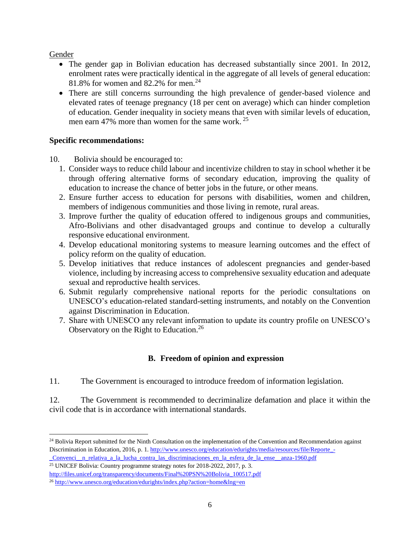Gender

- The gender gap in Bolivian education has decreased substantially since 2001. In 2012, enrolment rates were practically identical in the aggregate of all levels of general education: 81.8% for women and 82.2% for men.<sup>24</sup>
- There are still concerns surrounding the high prevalence of gender-based violence and elevated rates of teenage pregnancy (18 per cent on average) which can hinder completion of education. Gender inequality in society means that even with similar levels of education, men earn 47% more than women for the same work. <sup>25</sup>

#### **Specific recommendations:**

10. Bolivia should be encouraged to:

- 1. Consider ways to reduce child labour and incentivize children to stay in school whether it be through offering alternative forms of secondary education, improving the quality of education to increase the chance of better jobs in the future, or other means.
- 2. Ensure further access to education for persons with disabilities, women and children, members of indigenous communities and those living in remote, rural areas.
- 3. Improve further the quality of education offered to indigenous groups and communities, Afro-Bolivians and other disadvantaged groups and continue to develop a culturally responsive educational environment.
- 4. Develop educational monitoring systems to measure learning outcomes and the effect of policy reform on the quality of education.
- 5. Develop initiatives that reduce instances of adolescent pregnancies and gender-based violence, including by increasing access to comprehensive sexuality education and adequate sexual and reproductive health services.
- 6. Submit regularly comprehensive national reports for the periodic consultations on UNESCO's education-related standard-setting instruments, and notably on the Convention against Discrimination in Education.
- 7. Share with UNESCO any relevant information to update its country profile on UNESCO's Observatory on the Right to Education.<sup>26</sup>

## **B. Freedom of opinion and expression**

11. The Government is encouraged to introduce freedom of information legislation.

12. The Government is recommended to decriminalize defamation and place it within the civil code that is in accordance with international standards.

 $\overline{\phantom{a}}$ <sup>24</sup> Bolivia Report submitted for the Ninth Consultation on the implementation of the Convention and Recommendation against Discrimination in Education, 2016, p. 1. [http://www.unesco.org/education/edurights/media/resources/file/Reporte\\_-](http://www.unesco.org/education/edurights/media/resources/file/Reporte_-_Convenci__n_relativa_a_la_lucha_contra_las_discriminaciones_en_la_esfera_de_la_ense__anza-1960.pdf) [\\_Convenci\\_\\_n\\_relativa\\_a\\_la\\_lucha\\_contra\\_las\\_discriminaciones\\_en\\_la\\_esfera\\_de\\_la\\_ense\\_\\_anza-1960.pdf](http://www.unesco.org/education/edurights/media/resources/file/Reporte_-_Convenci__n_relativa_a_la_lucha_contra_las_discriminaciones_en_la_esfera_de_la_ense__anza-1960.pdf)

<sup>25</sup> UNICEF Bolivia: Country programme strategy notes for 2018-2022, 2017, p. 3.

[http://files.unicef.org/transparency/documents/Final%20PSN%20Bolivia\\_100517.pdf](http://files.unicef.org/transparency/documents/Final%20PSN%20Bolivia_100517.pdf)

<sup>26</sup> <http://www.unesco.org/education/edurights/index.php?action=home&lng=en>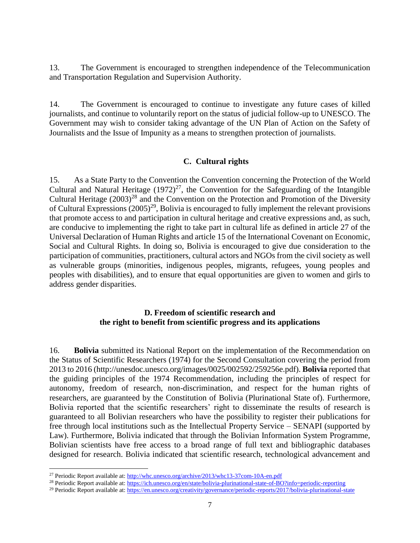13. The Government is encouraged to strengthen independence of the Telecommunication and Transportation Regulation and Supervision Authority.

14. The Government is encouraged to continue to investigate any future cases of killed journalists, and continue to voluntarily report on the status of judicial follow-up to UNESCO. The Government may wish to consider taking advantage of the UN Plan of Action on the Safety of Journalists and the Issue of Impunity as a means to strengthen protection of journalists.

#### **C. Cultural rights**

15. As a State Party to the Convention the Convention concerning the Protection of the World Cultural and Natural Heritage  $(1972)^{27}$ , the Convention for the Safeguarding of the Intangible Cultural Heritage  $(2003)^{28}$  and the Convention on the Protection and Promotion of the Diversity of Cultural Expressions  $(2005)^{29}$ , Bolivia is encouraged to fully implement the relevant provisions that promote access to and participation in cultural heritage and creative expressions and, as such, are conducive to implementing the right to take part in cultural life as defined in article 27 of the Universal Declaration of Human Rights and article 15 of the International Covenant on Economic, Social and Cultural Rights. In doing so, Bolivia is encouraged to give due consideration to the participation of communities, practitioners, cultural actors and NGOs from the civil society as well as vulnerable groups (minorities, indigenous peoples, migrants, refugees, young peoples and peoples with disabilities), and to ensure that equal opportunities are given to women and girls to address gender disparities.

### **D. Freedom of scientific research and the right to benefit from scientific progress and its applications**

16. **Bolivia** submitted its National Report on the implementation of the Recommendation on the Status of Scientific Researchers (1974) for the Second Consultation covering the period from 2013 to 2016 (http://unesdoc.unesco.org/images/0025/002592/259256e.pdf). **Bolivia** reported that the guiding principles of the 1974 Recommendation, including the principles of respect for autonomy, freedom of research, non-discrimination, and respect for the human rights of researchers, are guaranteed by the Constitution of Bolivia (Plurinational State of). Furthermore, Bolivia reported that the scientific researchers' right to disseminate the results of research is guaranteed to all Bolivian researchers who have the possibility to register their publications for free through local institutions such as the Intellectual Property Service – SENAPI (supported by Law). Furthermore, Bolivia indicated that through the Bolivian Information System Programme, Bolivian scientists have free access to a broad range of full text and bibliographic databases designed for research. Bolivia indicated that scientific research, technological advancement and

 $\overline{\phantom{a}}$ 

<sup>&</sup>lt;sup>27</sup> Periodic Report available at:<http://whc.unesco.org/archive/2013/whc13-37com-10A-en.pdf>

<sup>&</sup>lt;sup>28</sup> Periodic Report available at:<https://ich.unesco.org/en/state/bolivia-plurinational-state-of-BO?info=periodic-reporting>

<sup>&</sup>lt;sup>29</sup> Periodic Report available at[: https://en.unesco.org/creativity/governance/periodic-reports/2017/bolivia-plurinational-state](https://en.unesco.org/creativity/governance/periodic-reports/2017/bolivia-plurinational-state)